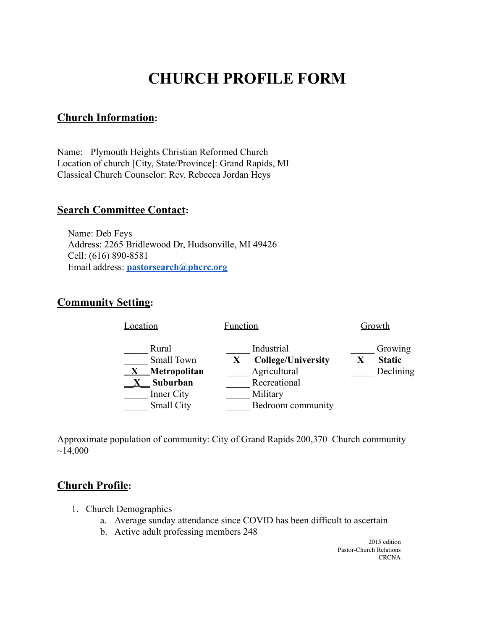# **CHURCH PROFILE FORM**

## **Church Information:**

Name: Plymouth Heights Christian Reformed Church Location of church [City, State/Province]: Grand Rapids, MI Classical Church Counselor: Rev. Rebecca Jordan Heys

## **Search Committee Contact:**

Name: Deb Feys Address: 2265 Bridlewood Dr, Hudsonville, MI 49426 Cell: (616) 890-8581 Email address: **[pastorsearch@phcrc.org](mailto:pastorsearch@phcrc.org)**

## **Community Setting:**



Approximate population of community: City of Grand Rapids 200,370 Church community  $~14,000$ 

#### **Church Profile:**

- 1. Church Demographics
	- a. Average sunday attendance since COVID has been difficult to ascertain
	- b. Active adult professing members 248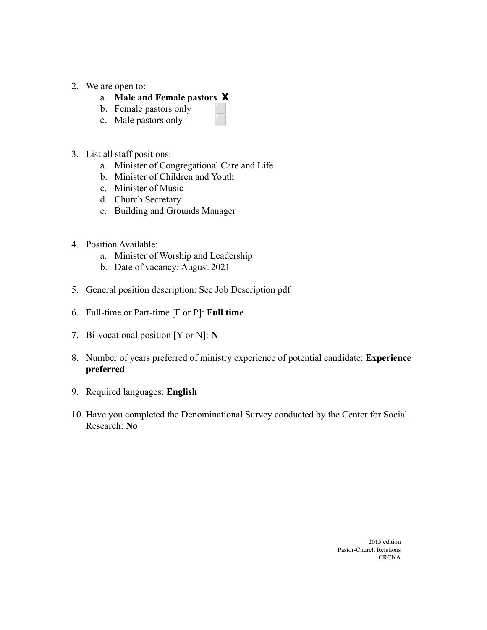- 2. We are open to:
	- a. **Male and Female pastors X**
	- b. Female pastors only
	- c. Male pastors only
- 3. List all staff positions:
	- a. Minister of Congregational Care and Life
	- b. Minister of Children and Youth
	- c. Minister of Music
	- d. Church Secretary
	- e. Building and Grounds Manager
- 4. Position Available:
	- a. Minister of Worship and Leadership
	- b. Date of vacancy: August 2021
- 5. General position description: See Job Description pdf
- 6. Full-time or Part-time [F or P]: **Full time**
- 7. Bi-vocational position [Y or N]: **N**
- 8. Number of years preferred of ministry experience of potential candidate: **Experience preferred**
- 9. Required languages: **English**
- 10. Have you completed the Denominational Survey conducted by the Center for Social Research: **No**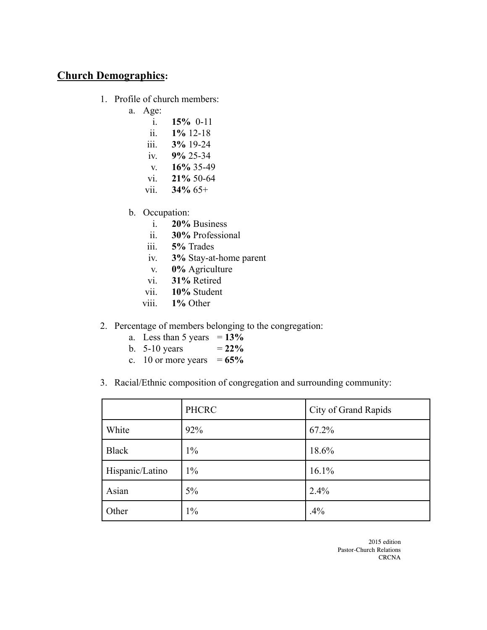## **Church Demographics:**

- 1. Profile of church members:
	- a. Age:
		- i. **15%** 0-11
		- ii. **1%** 12-18
		- iii. **3%** 19-24
		- iv. **9%** 25-34
		- v. **16%** 35-49
		- vi. **21%** 50-64
		- vii. **34%** 65+
		- b. Occupation:
			- i. **20%** Business
			- ii. **30%** Professional
			- iii. **5%** Trades
			- iv. **3%** Stay-at-home parent
			- v. **0%** Agriculture
			- vi. **31%** Retired
			- vii. **10%** Student
			- viii. **1%** Other
- 2. Percentage of members belonging to the congregation:
	- a. Less than 5 years  $= 13\%$
	- b.  $5{\text -}10$  years  $= 22\%$
	- c. 10 or more years  $= 65\%$
- 3. Racial/Ethnic composition of congregation and surrounding community:

|                 | <b>PHCRC</b> | City of Grand Rapids |
|-----------------|--------------|----------------------|
| White           | 92%          | 67.2%                |
| <b>Black</b>    | $1\%$        | 18.6%                |
| Hispanic/Latino | $1\%$        | 16.1%                |
| Asian           | $5\%$        | 2.4%                 |
| Other           | $1\%$        | .4%                  |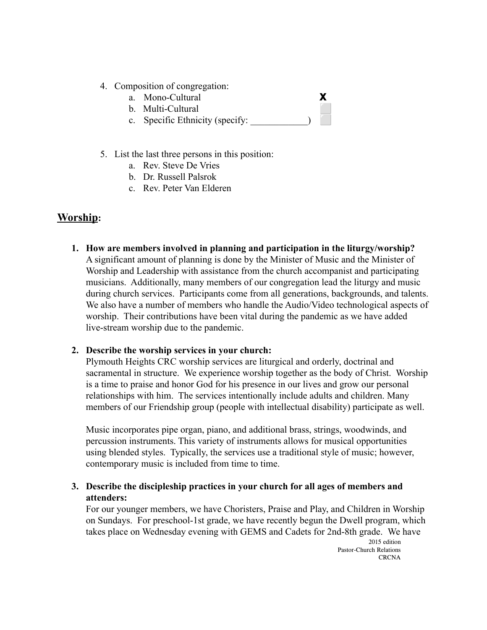- 4. Composition of congregation:
	- a. Mono-Cultural **X**
	- b. Multi-Cultural
	- c. Specific Ethnicity (specify:
- 5. List the last three persons in this position:
	- a. Rev. Steve De Vries
	- b. Dr. Russell Palsrok
	- c. Rev. Peter Van Elderen

## **Worship:**

**1. How are members involved in planning and participation in the liturgy/worship?** A significant amount of planning is done by the Minister of Music and the Minister of Worship and Leadership with assistance from the church accompanist and participating musicians. Additionally, many members of our congregation lead the liturgy and music during church services. Participants come from all generations, backgrounds, and talents. We also have a number of members who handle the Audio/Video technological aspects of worship. Their contributions have been vital during the pandemic as we have added live-stream worship due to the pandemic.

#### **2. Describe the worship services in your church:**

Plymouth Heights CRC worship services are liturgical and orderly, doctrinal and sacramental in structure. We experience worship together as the body of Christ. Worship is a time to praise and honor God for his presence in our lives and grow our personal relationships with him. The services intentionally include adults and children. Many members of our Friendship group (people with intellectual disability) participate as well.

Music incorporates pipe organ, piano, and additional brass, strings, woodwinds, and percussion instruments. This variety of instruments allows for musical opportunities using blended styles. Typically, the services use a traditional style of music; however, contemporary music is included from time to time.

**3. Describe the discipleship practices in your church for all ages of members and attenders:**

For our younger members, we have Choristers, Praise and Play, and Children in Worship on Sundays. For preschool-1st grade, we have recently begun the Dwell program, which takes place on Wednesday evening with GEMS and Cadets for 2nd-8th grade. We have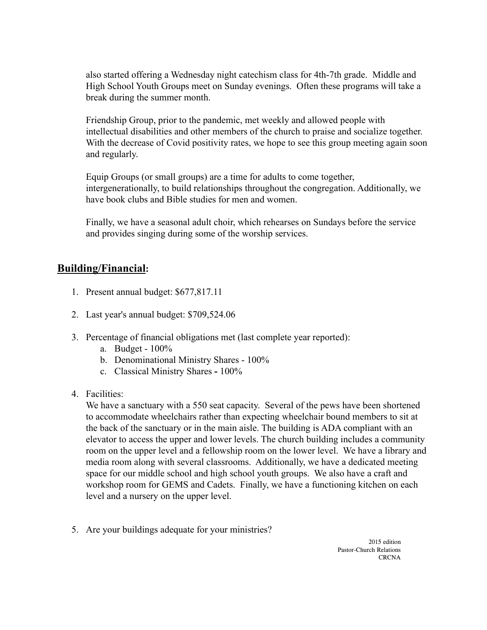also started offering a Wednesday night catechism class for 4th-7th grade. Middle and High School Youth Groups meet on Sunday evenings. Often these programs will take a break during the summer month.

Friendship Group, prior to the pandemic, met weekly and allowed people with intellectual disabilities and other members of the church to praise and socialize together. With the decrease of Covid positivity rates, we hope to see this group meeting again soon and regularly.

Equip Groups (or small groups) are a time for adults to come together, intergenerationally, to build relationships throughout the congregation. Additionally, we have book clubs and Bible studies for men and women.

Finally, we have a seasonal adult choir, which rehearses on Sundays before the service and provides singing during some of the worship services.

# **Building/Financial:**

- 1. Present annual budget: \$677,817.11
- 2. Last year's annual budget: \$709,524.06
- 3. Percentage of financial obligations met (last complete year reported):
	- a. Budget 100%
	- b. Denominational Ministry Shares 100%
	- c. Classical Ministry Shares **-** 100%
- 4. Facilities:

We have a sanctuary with a 550 seat capacity. Several of the pews have been shortened to accommodate wheelchairs rather than expecting wheelchair bound members to sit at the back of the sanctuary or in the main aisle. The building is ADA compliant with an elevator to access the upper and lower levels. The church building includes a community room on the upper level and a fellowship room on the lower level. We have a library and media room along with several classrooms. Additionally, we have a dedicated meeting space for our middle school and high school youth groups. We also have a craft and workshop room for GEMS and Cadets. Finally, we have a functioning kitchen on each level and a nursery on the upper level.

5. Are your buildings adequate for your ministries?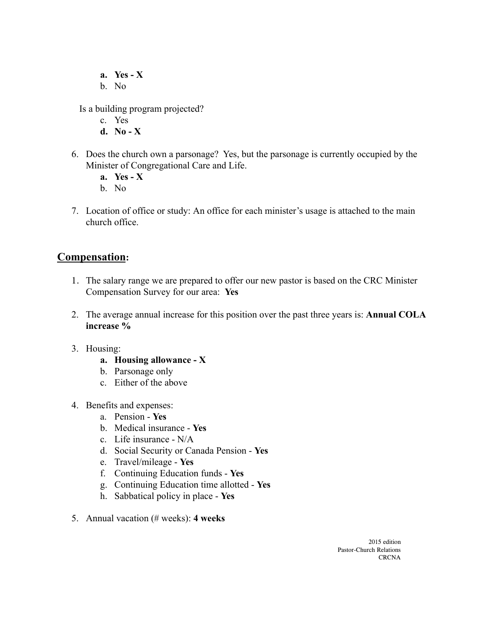**a. Yes - X**

b. No

Is a building program projected?

- c. Yes
- **d. No X**
- 6. Does the church own a parsonage? Yes, but the parsonage is currently occupied by the Minister of Congregational Care and Life.
	- **a. Yes X**
	- b. No
- 7. Location of office or study: An office for each minister's usage is attached to the main church office.

## **Compensation:**

- 1. The salary range we are prepared to offer our new pastor is based on the CRC Minister Compensation Survey for our area: **Yes**
- 2. The average annual increase for this position over the past three years is: **Annual COLA increase %**
- 3. Housing:
	- **a. Housing allowance X**
	- b. Parsonage only
	- c. Either of the above
- 4. Benefits and expenses:
	- a. Pension **Yes**
	- b. Medical insurance **Yes**
	- c. Life insurance N/A
	- d. Social Security or Canada Pension **Yes**
	- e. Travel/mileage **Yes**
	- f. Continuing Education funds **Yes**
	- g. Continuing Education time allotted **Yes**
	- h. Sabbatical policy in place **Yes**
- 5. Annual vacation (# weeks): **4 weeks**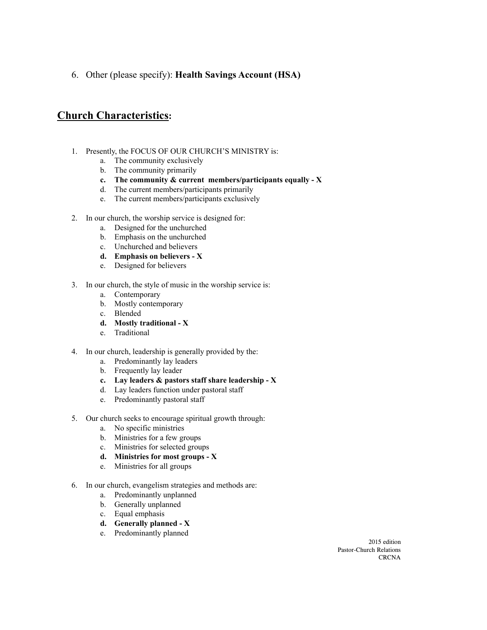6. Other (please specify): **Health Savings Account (HSA)**

## **Church Characteristics:**

- 1. Presently, the FOCUS OF OUR CHURCH'S MINISTRY is:
	- a. The community exclusively
	- b. The community primarily
	- **c. The community & current members/participants equally - X**
	- d. The current members/participants primarily
	- e. The current members/participants exclusively
- 2. In our church, the worship service is designed for:
	- a. Designed for the unchurched
	- b. Emphasis on the unchurched
	- c. Unchurched and believers
	- **d. Emphasis on believers - X**
	- e. Designed for believers
- 3. In our church, the style of music in the worship service is:
	- a. Contemporary
	- b. Mostly contemporary
	- c. Blended
	- **d. Mostly traditional - X**
	- e. Traditional
- 4. In our church, leadership is generally provided by the:
	- a. Predominantly lay leaders
	- b. Frequently lay leader
	- **c. Lay leaders & pastors staff share leadership - X**
	- d. Lay leaders function under pastoral staff
	- e. Predominantly pastoral staff
- 5. Our church seeks to encourage spiritual growth through:
	- a. No specific ministries
	- b. Ministries for a few groups
	- c. Ministries for selected groups
	- **d. Ministries for most groups - X**
	- e. Ministries for all groups
- 6. In our church, evangelism strategies and methods are:
	- a. Predominantly unplanned
	- b. Generally unplanned
	- c. Equal emphasis
	- **d. Generally planned - X**
	- e. Predominantly planned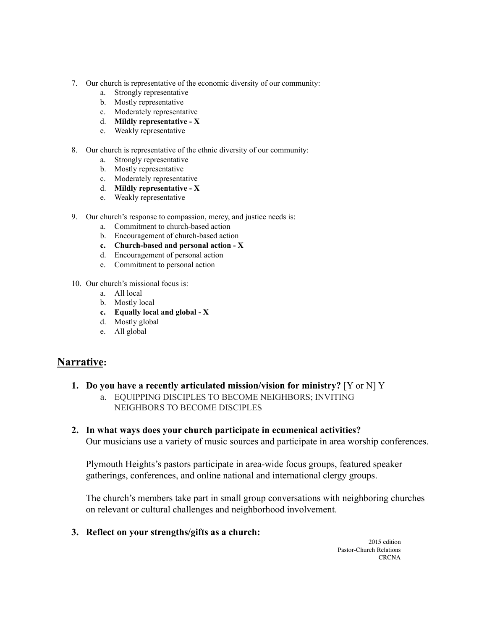- 7. Our church is representative of the economic diversity of our community:
	- a. Strongly representative
	- b. Mostly representative
	- c. Moderately representative
	- d. **Mildly representative - X**
	- e. Weakly representative
- 8. Our church is representative of the ethnic diversity of our community:
	- a. Strongly representative
	- b. Mostly representative
	- c. Moderately representative
	- d. **Mildly representative - X**
	- e. Weakly representative
- 9. Our church's response to compassion, mercy, and justice needs is:
	- a. Commitment to church-based action
	- b. Encouragement of church-based action
	- **c. Church-based and personal action - X**
	- d. Encouragement of personal action
	- e. Commitment to personal action
- 10. Our church's missional focus is:
	- a. All local
	- b. Mostly local
	- **c. Equally local and global - X**
	- d. Mostly global
	- e. All global

## **Narrative:**

- **1. Do you have a recently articulated mission/vision for ministry?** [Y or N] Y
	- a. EQUIPPING DISCIPLES TO BECOME NEIGHBORS; INVITING NEIGHBORS TO BECOME DISCIPLES
- **2. In what ways does your church participate in ecumenical activities?**

Our musicians use a variety of music sources and participate in area worship conferences.

Plymouth Heights's pastors participate in area-wide focus groups, featured speaker gatherings, conferences, and online national and international clergy groups.

The church's members take part in small group conversations with neighboring churches on relevant or cultural challenges and neighborhood involvement.

**3. Reflect on your strengths/gifts as a church:**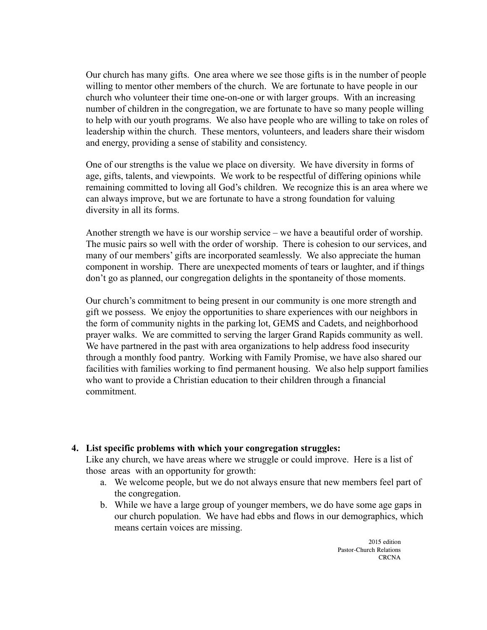Our church has many gifts. One area where we see those gifts is in the number of people willing to mentor other members of the church. We are fortunate to have people in our church who volunteer their time one-on-one or with larger groups. With an increasing number of children in the congregation, we are fortunate to have so many people willing to help with our youth programs. We also have people who are willing to take on roles of leadership within the church. These mentors, volunteers, and leaders share their wisdom and energy, providing a sense of stability and consistency.

One of our strengths is the value we place on diversity. We have diversity in forms of age, gifts, talents, and viewpoints. We work to be respectful of differing opinions while remaining committed to loving all God's children. We recognize this is an area where we can always improve, but we are fortunate to have a strong foundation for valuing diversity in all its forms.

Another strength we have is our worship service – we have a beautiful order of worship. The music pairs so well with the order of worship. There is cohesion to our services, and many of our members' gifts are incorporated seamlessly. We also appreciate the human component in worship. There are unexpected moments of tears or laughter, and if things don't go as planned, our congregation delights in the spontaneity of those moments.

Our church's commitment to being present in our community is one more strength and gift we possess. We enjoy the opportunities to share experiences with our neighbors in the form of community nights in the parking lot, GEMS and Cadets, and neighborhood prayer walks. We are committed to serving the larger Grand Rapids community as well. We have partnered in the past with area organizations to help address food insecurity through a monthly food pantry. Working with Family Promise, we have also shared our facilities with families working to find permanent housing. We also help support families who want to provide a Christian education to their children through a financial commitment.

#### **4. List specific problems with which your congregation struggles:**

Like any church, we have areas where we struggle or could improve. Here is a list of those areas with an opportunity for growth:

- a. We welcome people, but we do not always ensure that new members feel part of the congregation.
- b. While we have a large group of younger members, we do have some age gaps in our church population. We have had ebbs and flows in our demographics, which means certain voices are missing.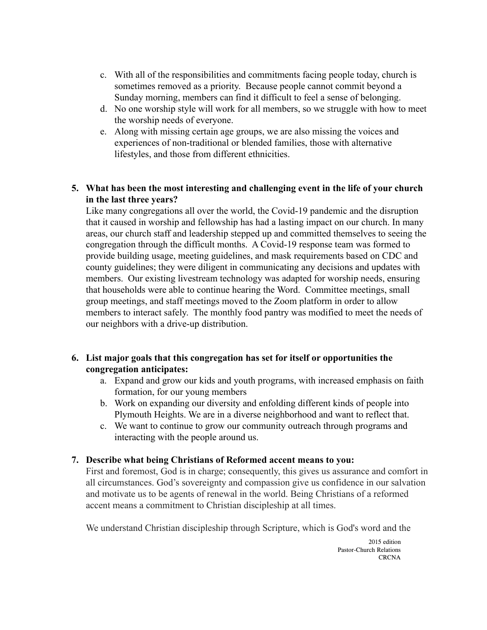- c. With all of the responsibilities and commitments facing people today, church is sometimes removed as a priority. Because people cannot commit beyond a Sunday morning, members can find it difficult to feel a sense of belonging.
- d. No one worship style will work for all members, so we struggle with how to meet the worship needs of everyone.
- e. Along with missing certain age groups, we are also missing the voices and experiences of non-traditional or blended families, those with alternative lifestyles, and those from different ethnicities.

### **5. What has been the most interesting and challenging event in the life of your church in the last three years?**

Like many congregations all over the world, the Covid-19 pandemic and the disruption that it caused in worship and fellowship has had a lasting impact on our church. In many areas, our church staff and leadership stepped up and committed themselves to seeing the congregation through the difficult months. A Covid-19 response team was formed to provide building usage, meeting guidelines, and mask requirements based on CDC and county guidelines; they were diligent in communicating any decisions and updates with members. Our existing livestream technology was adapted for worship needs, ensuring that households were able to continue hearing the Word. Committee meetings, small group meetings, and staff meetings moved to the Zoom platform in order to allow members to interact safely. The monthly food pantry was modified to meet the needs of our neighbors with a drive-up distribution.

#### **6. List major goals that this congregation has set for itself or opportunities the congregation anticipates:**

- a. Expand and grow our kids and youth programs, with increased emphasis on faith formation, for our young members
- b. Work on expanding our diversity and enfolding different kinds of people into Plymouth Heights. We are in a diverse neighborhood and want to reflect that.
- c. We want to continue to grow our community outreach through programs and interacting with the people around us.

#### **7. Describe what being Christians of Reformed accent means to you:**

First and foremost, God is in charge; consequently, this gives us assurance and comfort in all circumstances. God's sovereignty and compassion give us confidence in our salvation and motivate us to be agents of renewal in the world. Being Christians of a reformed accent means a commitment to Christian discipleship at all times.

We understand Christian discipleship through Scripture, which is God's word and the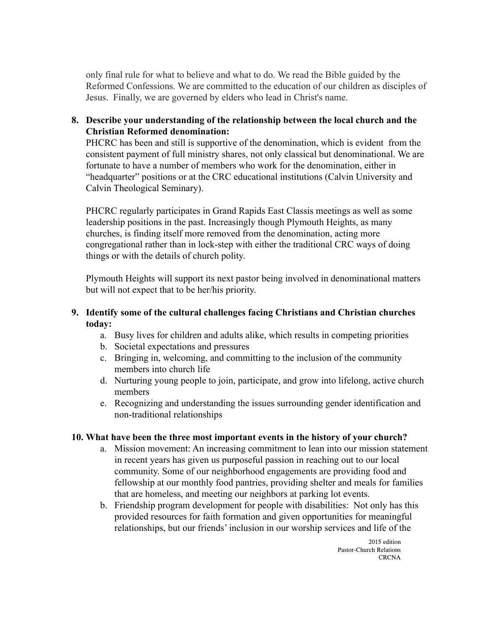only final rule for what to believe and what to do. We read the Bible guided by the Reformed Confessions. We are committed to the education of our children as disciples of Jesus. Finally, we are governed by elders who lead in Christ's name.

#### **8. Describe your understanding of the relationship between the local church and the Christian Reformed denomination:**

PHCRC has been and still is supportive of the denomination, which is evident from the consistent payment of full ministry shares, not only classical but denominational. We are fortunate to have a number of members who work for the denomination, either in "headquarter" positions or at the CRC educational institutions (Calvin University and Calvin Theological Seminary).

PHCRC regularly participates in Grand Rapids East Classis meetings as well as some leadership positions in the past. Increasingly though Plymouth Heights, as many churches, is finding itself more removed from the denomination, acting more congregational rather than in lock-step with either the traditional CRC ways of doing things or with the details of church polity.

Plymouth Heights will support its next pastor being involved in denominational matters but will not expect that to be her/his priority.

#### **9. Identify some of the cultural challenges facing Christians and Christian churches today:**

- a. Busy lives for children and adults alike, which results in competing priorities
- b. Societal expectations and pressures
- c. Bringing in, welcoming, and committing to the inclusion of the community members into church life
- d. Nurturing young people to join, participate, and grow into lifelong, active church members
- e. Recognizing and understanding the issues surrounding gender identification and non-traditional relationships

#### **10. What have been the three most important events in the history of your church?**

- a. Mission movement: An increasing commitment to lean into our mission statement in recent years has given us purposeful passion in reaching out to our local community. Some of our neighborhood engagements are providing food and fellowship at our monthly food pantries, providing shelter and meals for families that are homeless, and meeting our neighbors at parking lot events.
- b. Friendship program development for people with disabilities: Not only has this provided resources for faith formation and given opportunities for meaningful relationships, but our friends' inclusion in our worship services and life of the